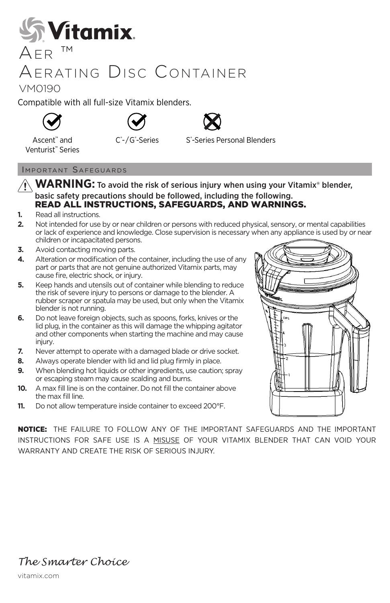

## Aerating Disc Container

## VM0190

Compatible with all full-size Vitamix blenders.









Ascent™ and Venturist™ Series C<sup>®</sup>-Series S®

-Series Personal Blenders

### Important Safeguards

- **WARNING:** To avoid the risk of serious injury when using your Vitamix<sup>®</sup> blender, basic safety precautions should be followed, including the following. READ ALL INSTRUCTIONS, SAFEGUARDS, AND WARNINGS.
- **1.** Read all instructions.
- **2.** Not intended for use by or near children or persons with reduced physical, sensory, or mental capabilities or lack of experience and knowledge. Close supervision is necessary when any appliance is used by or near children or incapacitated persons.
- **3.** Avoid contacting moving parts.
- **4.** Alteration or modification of the container, including the use of any part or parts that are not genuine authorized Vitamix parts, may cause fire, electric shock, or injury.
- **5.** Keep hands and utensils out of container while blending to reduce the risk of severe injury to persons or damage to the blender. A rubber scraper or spatula may be used, but only when the Vitamix blender is not running.
- **6.** Do not leave foreign objects, such as spoons, forks, knives or the lid plug, in the container as this will damage the whipping agitator and other components when starting the machine and may cause injury.
- **7.** Never attempt to operate with a damaged blade or drive socket.
- **8.** Always operate blender with lid and lid plug firmly in place.
- **9.** When blending hot liquids or other ingredients, use caution; spray or escaping steam may cause scalding and burns.
- **10.** A max fill line is on the container. Do not fill the container above the max fill line.
- **11.** Do not allow temperature inside container to exceed 200°F.

NOTICE: THE FAILURE TO FOLLOW ANY OF THE IMPORTANT SAFEGUARDS AND THE IMPORTANT INSTRUCTIONS FOR SAFE USE IS A MISUSE OF YOUR VITAMIX BLENDER THAT CAN VOID YOUR WARRANTY AND CREATE THE RISK OF SERIOUS INJURY.



*The Smarter Choice*

vitamix.com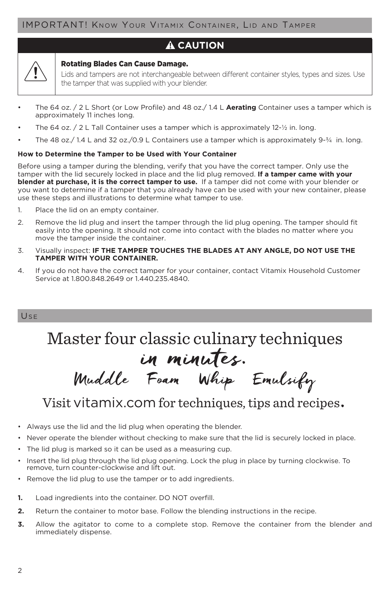### **A** CAUTION

#### Rotating Blades Can Cause Damage.

Lids and tampers are not interchangeable between different container styles, types and sizes. Use the tamper that was supplied with your blender.

- The 64 oz. / 2 L Short (or Low Profile) and 48 oz./ 1.4 L **Aerating** Container uses a tamper which is approximately 11 inches long.
- The 64 oz. / 2 L Tall Container uses a tamper which is approximately 12-1/2 in. long.
- The 48 oz./ 1.4 L and 32 oz./0.9 L Containers use a tamper which is approximately 9-¾ in. long.

#### **How to Determine the Tamper to be Used with Your Container**

Before using a tamper during the blending, verify that you have the correct tamper. Only use the tamper with the lid securely locked in place and the lid plug removed. **If a tamper came with your blender at purchase, it is the correct tamper to use.** If a tamper did not come with your blender or you want to determine if a tamper that you already have can be used with your new container, please use these steps and illustrations to determine what tamper to use.

- 1. Place the lid on an empty container.
- 2. Remove the lid plug and insert the tamper through the lid plug opening. The tamper should fit easily into the opening. It should not come into contact with the blades no matter where you move the tamper inside the container.
- 3. Visually inspect: **IF THE TAMPER TOUCHES THE BLADES AT ANY ANGLE, DO NOT USE THE TAMPER WITH YOUR CONTAINER.**
- 4. If you do not have the correct tamper for your container, contact Vitamix Household Customer Service at 1.800.848.2649 or 1.440.235.4840.

#### Use

Master four classic culinary techniques in minutes.

Muddle Foam Whip Emulsify

## Visit vitamix.com for techniques, tips and recipes.

- Always use the lid and the lid plug when operating the blender.
- Never operate the blender without checking to make sure that the lid is securely locked in place.
- The lid plug is marked so it can be used as a measuring cup.
- Insert the lid plug through the lid plug opening. Lock the plug in place by turning clockwise. To remove, turn counter-clockwise and lift out.
- Remove the lid plug to use the tamper or to add ingredients.
- **1.** Load ingredients into the container. DO NOT overfill.
- **2.** Return the container to motor base. Follow the blending instructions in the recipe.
- **3.** Allow the agitator to come to a complete stop. Remove the container from the blender and immediately dispense.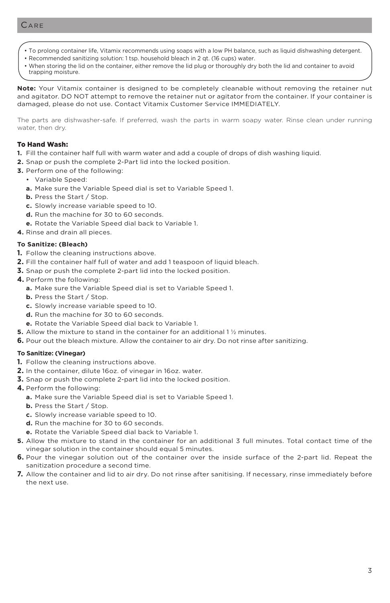- To prolong container life, Vitamix recommends using soaps with a low PH balance, such as liquid dishwashing detergent.
- Recommended sanitizing solution: 1 tsp. household bleach in 2 qt. (16 cups) water.
- When storing the lid on the container, either remove the lid plug or thoroughly dry both the lid and container to avoid trapping moisture.

**Note:** Your Vitamix container is designed to be completely cleanable without removing the retainer nut and agitator. DO NOT attempt to remove the retainer nut or agitator from the container. If your container is damaged, please do not use. Contact Vitamix Customer Service IMMEDIATELY.

The parts are dishwasher-safe. If preferred, wash the parts in warm soapy water. Rinse clean under running water, then dry.

#### To Hand Wash:

- **1.** Fill the container half full with warm water and add a couple of drops of dish washing liquid.
- **2.** Snap or push the complete 2-Part lid into the locked position.
- **3.** Perform one of the following:
	- Variable Speed:
	- **a.** Make sure the Variable Speed dial is set to Variable Speed 1.
	- **b.** Press the Start / Stop.
	- **c.** Slowly increase variable speed to 10.
	- **d.** Run the machine for 30 to 60 seconds.
	- **e.** Rotate the Variable Speed dial back to Variable 1.
- **4.** Rinse and drain all pieces.

#### **To Sanitize: (Bleach)**

- **1.** Follow the cleaning instructions above.
- **2.** Fill the container half full of water and add 1 teaspoon of liquid bleach.
- **3.** Snap or push the complete 2-part lid into the locked position.
- **4.** Perform the following:
	- **a.** Make sure the Variable Speed dial is set to Variable Speed 1.
	- **b.** Press the Start / Stop.
	- **c.** Slowly increase variable speed to 10.
	- **d.** Run the machine for 30 to 60 seconds.
	- **e.** Rotate the Variable Speed dial back to Variable 1.
- **5.** Allow the mixture to stand in the container for an additional 1 ½ minutes.
- **6.** Pour out the bleach mixture. Allow the container to air dry. Do not rinse after sanitizing.

#### **To Sanitize: (Vinegar)**

- **1.** Follow the cleaning instructions above.
- **2.** In the container, dilute 16oz. of vinegar in 16oz. water.
- **3.** Snap or push the complete 2-part lid into the locked position.
- **4.** Perform the following:
	- **a.** Make sure the Variable Speed dial is set to Variable Speed 1.
	- **b.** Press the Start / Stop.
	- **c.** Slowly increase variable speed to 10.
	- **d.** Run the machine for 30 to 60 seconds.
	- **e.** Rotate the Variable Speed dial back to Variable 1.
- **5.** Allow the mixture to stand in the container for an additional 3 full minutes. Total contact time of the vinegar solution in the container should equal 5 minutes.
- **6.** Pour the vinegar solution out of the container over the inside surface of the 2-part lid. Repeat the sanitization procedure a second time.
- **7.** Allow the container and lid to air dry. Do not rinse after sanitising. If necessary, rinse immediately before the next use.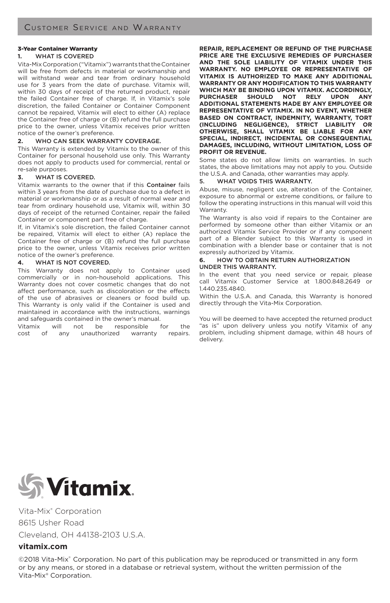#### 3-Year Container Warranty

#### **1.** WHAT IS COVERED

Vita-Mix Corporation ("Vitamix") warrants that the Container will be free from defects in material or workmanship and will withstand wear and tear from ordinary household use for 3 years from the date of purchase. Vitamix will, within 30 days of receipt of the returned product, repair the failed Container free of charge. If, in Vitamix's sole discretion, the failed Container or Container Component cannot be repaired, Vitamix will elect to either (A) replace the Container free of charge or (B) refund the full purchase price to the owner, unless Vitamix receives prior written notice of the owner's preference.

#### **2.** WHO CAN SEEK WARRANTY COVERAGE.

This Warranty is extended by Vitamix to the owner of this Container for personal household use only. This Warranty does not apply to products used for commercial, rental or re-sale purposes.

#### **3.** WHAT IS COVERED.

Vitamix warrants to the owner that if this Container fails within 3 years from the date of purchase due to a defect in material or workmanship or as a result of normal wear and tear from ordinary household use, Vitamix will, within 30 days of receipt of the returned Container, repair the failed Container or component part free of charge.

If, in Vitamix's sole discretion, the failed Container cannot be repaired, Vitamix will elect to either (A) replace the Container free of charge or (B) refund the full purchase price to the owner, unless Vitamix receives prior written notice of the owner's preference.

#### **4.** WHAT IS NOT COVERED.

This Warranty does not apply to Container used commercially or in non-household applications. This Warranty does not cover cosmetic changes that do not affect performance, such as discoloration or the effects of the use of abrasives or cleaners or food build up. This Warranty is only valid if the Container is used and maintained in accordance with the instructions, warnings and safeguards contained in the owner's manual.

Vitamix will not be responsible for the<br>cost of any unauthorized warranty repairs. any unauthorized warranty repairs.

**REPAIR, REPLACEMENT OR REFUND OF THE PURCHASE PRICE ARE THE EXCLUSIVE REMEDIES OF PURCHASER AND THE SOLE LIABILITY OF VITAMIX UNDER THIS WARRANTY. NO EMPLOYEE OR REPRESENTATIVE OF VITAMIX IS AUTHORIZED TO MAKE ANY ADDITIONAL WARRANTY OR ANY MODIFICATION TO THIS WARRANTY WHICH MAY BE BINDING UPON VITAMIX. ACCORDINGLY, PURCHASER SHOULD NOT RELY UPON ANY ADDITIONAL STATEMENTS MADE BY ANY EMPLOYEE OR REPRESENTATIVE OF VITAMIX. IN NO EVENT, WHETHER BASED ON CONTRACT, INDEMNITY, WARRANTY, TORT (INCLUDING NEGLIGENCE), STRICT LIABILITY OR OTHERWISE, SHALL VITAMIX BE LIABLE FOR ANY SPECIAL, INDIRECT, INCIDENTAL OR CONSEQUENTIAL DAMAGES, INCLUDING, WITHOUT LIMITATION, LOSS OF PROFIT OR REVENUE.** 

Some states do not allow limits on warranties. In such states, the above limitations may not apply to you. Outside the U.S.A. and Canada, other warranties may apply.

#### 5. WHAT VOIDS THIS WARRANTY.

Abuse, misuse, negligent use, alteration of the Container, exposure to abnormal or extreme conditions, or failure to follow the operating instructions in this manual will void this Warranty.

The Warranty is also void if repairs to the Container are performed by someone other than either Vitamix or an authorized Vitamix Service Provider or if any component part of a Blender subject to this Warranty is used in combination with a blender base or container that is not expressly authorized by Vitamix.

#### **6.** HOW TO OBTAIN RETURN AUTHORIZATION UNDER THIS WARRANTY.

In the event that you need service or repair, please call Vitamix Customer Service at 1.800.848.2649 or 1.440.235.4840.

Within the U.S.A. and Canada, this Warranty is honored directly through the Vita-Mix Corporation.

You will be deemed to have accepted the returned product "as is" upon delivery unless you notify Vitamix of any problem, including shipment damage, within 48 hours of delivery.



Vita-Mix® Corporation 8615 Usher Road Cleveland, OH 44138-2103 U.S.A.

#### **vitamix.com**

©2018 Vita-Mix<sup>®</sup> Corporation. No part of this publication may be reproduced or transmitted in any form or by any means, or stored in a database or retrieval system, without the written permission of the Vita-Mix® Corporation.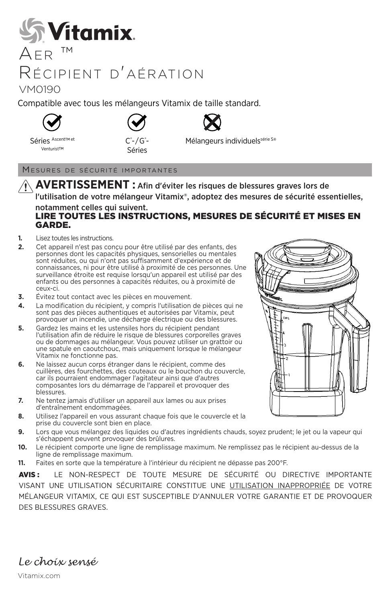## *<u><b>AVitamix.</u>*  $AER$ <sup>TM</sup>

## Récipient d'aération

VM0190

Compatible avec tous les mélangeurs Vitamix de taille standard.









Séries Ascent™et Venturist™

C®-/G®-Séries

Mélangeurs individuels<sup>série S®</sup>

#### Mesures de sécurité importantes

**AVERTISSEMENT :** Afin d'éviter les risques de blessures graves lors de l'utilisation de votre mélangeur Vitamix®, adoptez des mesures de sécurité essentielles,

#### notamment celles qui suivent. LIRE TOUTES LES INSTRUCTIONS, MESURES DE SÉCURITÉ ET MISES EN GARDE.

- **1.** Lisez toutes les instructions.
- **2.** Cet appareil n'est pas conçu pour être utilisé par des enfants, des personnes dont les capacités physiques, sensorielles ou mentales sont réduites, ou qui n'ont pas suffisamment d'expérience et de connaissances, ni pour être utilisé à proximité de ces personnes. Une surveillance étroite est requise lorsqu'un appareil est utilisé par des enfants ou des personnes à capacités réduites, ou à proximité de ceux-ci.
- **3.** Évitez tout contact avec les pièces en mouvement.
- **4.** La modification du récipient, y compris l'utilisation de pièces qui ne sont pas des pièces authentiques et autorisées par Vitamix, peut provoquer un incendie, une décharge électrique ou des blessures.
- **5.** Gardez les mains et les ustensiles hors du récipient pendant l'utilisation afin de réduire le risque de blessures corporelles graves ou de dommages au mélangeur. Vous pouvez utiliser un grattoir ou une spatule en caoutchouc, mais uniquement lorsque le mélangeur Vitamix ne fonctionne pas.
- **6.** Ne laissez aucun corps étranger dans le récipient, comme des cuillères, des fourchettes, des couteaux ou le bouchon du couvercle, car ils pourraient endommager l'agitateur ainsi que d'autres composantes lors du démarrage de l'appareil et provoquer des blessures.
- **7.** Ne tentez jamais d'utiliser un appareil aux lames ou aux prises d'entraînement endommagées.
- **8.** Utilisez l'appareil en vous assurant chaque fois que le couvercle et la prise du couvercle sont bien en place.
- **9.** Lors que vous mélangez des liquides ou d'autres ingrédients chauds, soyez prudent; le jet ou la vapeur qui s'échappent peuvent provoquer des brûlures.
- **10.** Le récipient comporte une ligne de remplissage maximum. Ne remplissez pas le récipient au-dessus de la ligne de remplissage maximum.
- **11.** Faites en sorte que la température à l'intérieur du récipient ne dépasse pas 200°F.

AVIS: LE NON-RESPECT DE TOUTE MESURE DE SÉCURITÉ OU DIRECTIVE IMPORTANTE VISANT UNE UTILISATION SÉCURITAIRE CONSTITUE UNE UTILISATION INAPPROPRIÉE DE VOTRE MÉLANGEUR VITAMIX, CE QUI EST SUSCEPTIBLE D'ANNULER VOTRE GARANTIE ET DE PROVOQUER DES BLESSURES GRAVES.



*Le choix sensé*

Vitamix.com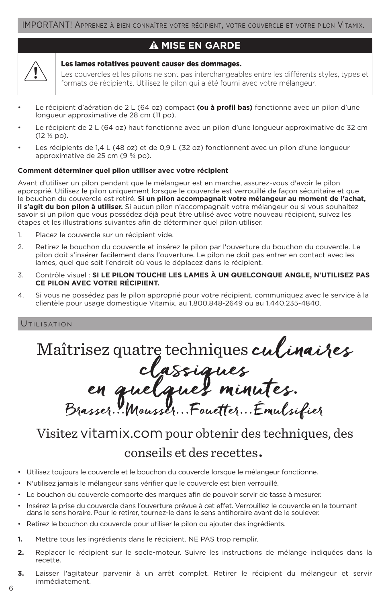### **MISE EN GARDE**

#### Les lames rotatives peuvent causer des dommages.

Les couvercles et les pilons ne sont pas interchangeables entre les différents styles, types et formats de récipients. Utilisez le pilon qui a été fourni avec votre mélangeur.

- Le récipient d'aération de 2 L (64 oz) compact **(ou à profil bas)** fonctionne avec un pilon d'une longueur approximative de 28 cm (11 po).
- Le récipient de 2 L (64 oz) haut fonctionne avec un pilon d'une longueur approximative de 32 cm (12 ½ po).
- Les récipients de 1,4 L (48 oz) et de 0,9 L (32 oz) fonctionnent avec un pilon d'une longueur approximative de 25 cm  $(9 \frac{3}{4}$  po).

#### **Comment déterminer quel pilon utiliser avec votre récipient**

Avant d'utiliser un pilon pendant que le mélangeur est en marche, assurez-vous d'avoir le pilon approprié. Utilisez le pilon uniquement lorsque le couvercle est verrouillé de façon sécuritaire et que le bouchon du couvercle est retiré. **Si un pilon accompagnait votre mélangeur au moment de l'achat, il s'agit du bon pilon à utiliser.** Si aucun pilon n'accompagnait votre mélangeur ou si vous souhaitez savoir si un pilon que vous possédez déjà peut être utilisé avec votre nouveau récipient, suivez les étapes et les illustrations suivantes afin de déterminer quel pilon utiliser.

- 1. Placez le couvercle sur un récipient vide.
- 2. Retirez le bouchon du couvercle et insérez le pilon par l'ouverture du bouchon du couvercle. Le pilon doit s'insérer facilement dans l'ouverture. Le pilon ne doit pas entrer en contact avec les lames, quel que soit l'endroit où vous le déplacez dans le récipient.
- 3. Contrôle visuel : **SI LE PILON TOUCHE LES LAMES À UN QUELCONQUE ANGLE, N'UTILISEZ PAS CE PILON AVEC VOTRE RÉCIPIENT.**
- 4. Si vous ne possédez pas le pilon approprié pour votre récipient, communiquez avec le service à la clientèle pour usage domestique Vitamix, au 1.800.848-2649 ou au 1.440.235-4840.

#### **UTILISATION**

Maîtrisez quatre techniques culinaires<br>classiques<br>en quelques minutes.<br>Brasser...Mousser...Fouetter...Émulsifier

## Visitez vitamix.com pour obtenir des techniques, des

## conseils et des recettes.

- Utilisez toujours le couvercle et le bouchon du couvercle lorsque le mélangeur fonctionne.
- N'utilisez jamais le mélangeur sans vérifier que le couvercle est bien verrouillé.
- Le bouchon du couvercle comporte des marques afin de pouvoir servir de tasse à mesurer.
- Insérez la prise du couvercle dans l'ouverture prévue à cet effet. Verrouillez le couvercle en le tournant dans le sens horaire. Pour le retirer, tournez-le dans le sens antihoraire avant de le soulever.
- Retirez le bouchon du couvercle pour utiliser le pilon ou ajouter des ingrédients.
- **1.** Mettre tous les ingrédients dans le récipient. NE PAS trop remplir.
- **2.** Replacer le récipient sur le socle-moteur. Suivre les instructions de mélange indiquées dans la recette.
- **3.** Laisser l'agitateur parvenir à un arrêt complet. Retirer le récipient du mélangeur et servir immédiatement.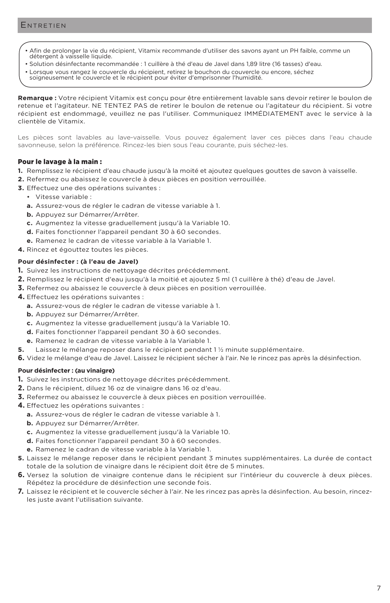- Afin de prolonger la vie du récipient, Vitamix recommande d'utiliser des savons ayant un PH faible, comme un détergent à vaisselle liquide.
- Solution désinfectante recommandée : 1 cuillère à thé d'eau de Javel dans 1,89 litre (16 tasses) d'eau.
- Lorsque vous rangez le couvercle du récipient, retirez le bouchon du couvercle ou encore, séchez
- soigneusement le couvercle et le récipient pour éviter d'emprisonner l'humidité.

**Remarque :** Votre récipient Vitamix est conçu pour être entièrement lavable sans devoir retirer le boulon de retenue et l'agitateur. NE TENTEZ PAS de retirer le boulon de retenue ou l'agitateur du récipient. Si votre récipient est endommagé, veuillez ne pas l'utiliser. Communiquez IMMÉDIATEMENT avec le service à la clientèle de Vitamix.

Les pièces sont lavables au lave-vaisselle. Vous pouvez également laver ces pièces dans l'eau chaude savonneuse, selon la préférence. Rincez-les bien sous l'eau courante, puis séchez-les.

#### Pour le lavage à la main :

- **1.** Remplissez le récipient d'eau chaude jusqu'à la moité et ajoutez quelques gouttes de savon à vaisselle.
- **2.** Refermez ou abaissez le couvercle à deux pièces en position verrouillée.
- **3.** Effectuez une des opérations suivantes :
	- Vitesse variable :
	- **a.** Assurez-vous de régler le cadran de vitesse variable à 1.
	- **b.** Appuyez sur Démarrer/Arrêter.
	- **c.** Augmentez la vitesse graduellement jusqu'à la Variable 10.
	- **d.** Faites fonctionner l'appareil pendant 30 à 60 secondes.
	- **e.** Ramenez le cadran de vitesse variable à la Variable 1.
- **4.** Rincez et égouttez toutes les pièces.

#### **Pour désinfecter : (à l'eau de Javel)**

- **1.** Suivez les instructions de nettoyage décrites précédemment.
- **2.** Remplissez le récipient d'eau jusqu'à la moitié et ajoutez 5 ml (1 cuillère à thé) d'eau de Javel.
- **3.** Refermez ou abaissez le couvercle à deux pièces en position verrouillée.
- **4.** Effectuez les opérations suivantes :
	- **a.** Assurez-vous de régler le cadran de vitesse variable à 1.
	- **b.** Appuyez sur Démarrer/Arrêter.
	- **c.** Augmentez la vitesse graduellement jusqu'à la Variable 10.
	- **d.** Faites fonctionner l'appareil pendant 30 à 60 secondes.
	- **e.** Ramenez le cadran de vitesse variable à la Variable 1.
- **5.** Laissez le mélange reposer dans le récipient pendant 1 ½ minute supplémentaire.
- **6.** Videz le mélange d'eau de Javel. Laissez le récipient sécher à l'air. Ne le rincez pas après la désinfection.

#### **Pour désinfecter : (au vinaigre)**

- **1.** Suivez les instructions de nettoyage décrites précédemment.
- **2.** Dans le récipient, diluez 16 oz de vinaigre dans 16 oz d'eau.
- **3.** Refermez ou abaissez le couvercle à deux pièces en position verrouillée.
- **4.** Effectuez les opérations suivantes :
	- **a.** Assurez-vous de régler le cadran de vitesse variable à 1.
	- **b.** Appuyez sur Démarrer/Arrêter.
	- **c.** Augmentez la vitesse graduellement jusqu'à la Variable 10.
	- **d.** Faites fonctionner l'appareil pendant 30 à 60 secondes.
	- **e.** Ramenez le cadran de vitesse variable à la Variable 1.
- **5.** Laissez le mélange reposer dans le récipient pendant 3 minutes supplémentaires. La durée de contact totale de la solution de vinaigre dans le récipient doit être de 5 minutes.
- **6.** Versez la solution de vinaigre contenue dans le récipient sur l'intérieur du couvercle à deux pièces. Répétez la procédure de désinfection une seconde fois.
- **7.** Laissez le récipient et le couvercle sécher à l'air. Ne les rincez pas après la désinfection. Au besoin, rincezles juste avant l'utilisation suivante.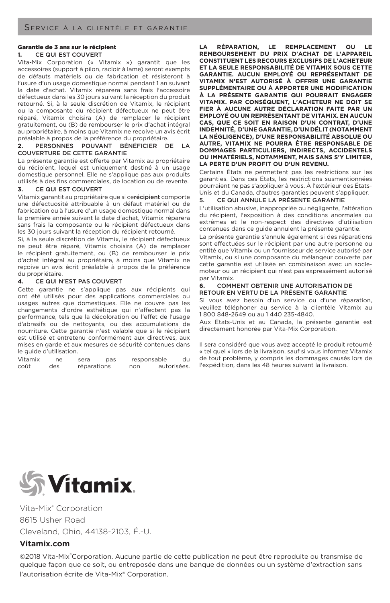#### Garantie de 3 ans sur le récipient

#### **1.** CE QUI EST COUVERT

Vita-Mix Corporation (« Vitamix ») garantit que les accessoires (support à pilon, racloir à lame) seront exempts de défauts matériels ou de fabrication et résisteront à l'usure d'un usage domestique normal pendant 1 an suivant la date d'achat. Vitamix réparera sans frais l'accessoire défectueux dans les 30 jours suivant la réception du produit retourné. Si, à la seule discrétion de Vitamix, le récipient ou la composante du récipient défectueux ne peut être réparé, Vitamix choisira (A) de remplacer le récipient gratuitement, ou (B) de rembourser le prix d'achat intégral au propriétaire, à moins que Vitamix ne reçoive un avis écrit préalable à propos de la préférence du propriétaire.

#### **2.** PERSONNES POUVANT BÉNÉFICIER DE LA COUVERTURE DE CETTE GARANTIE

La présente garantie est offerte par Vitamix au propriétaire du récipient, lequel est uniquement destiné à un usage domestique personnel. Elle ne s'applique pas aux produits utilisés à des fins commerciales, de location ou de revente.

#### **3.** CE QUI EST COUVERT

Vitamix garantit au propriétaire que si cerécipient comporte une défectuosité attribuable à un défaut matériel ou de fabrication ou à l'usure d'un usage domestique normal dans la première année suivant la date d'achat, Vitamix réparera sans frais la composante ou le récipient défectueux dans les 30 jours suivant la réception du récipient retourné.

Si, à la seule discrétion de Vitamix, le récipient défectueux ne peut être réparé, Vitamix choisira (A) de remplacer le récipient gratuitement, ou (B) de rembourser le prix d'achat intégral au propriétaire, à moins que Vitamix ne reçoive un avis écrit préalable à propos de la préférence du propriétaire.

#### **4.** CE QUI N'EST PAS COUVERT

Cette garantie ne s'applique pas aux récipients qui ont été utilisés pour des applications commerciales ou usages autres que domestiques. Elle ne couvre pas les changements d'ordre esthétique qui n'affectent pas la performance, tels que la décoloration ou l'effet de l'usage d'abrasifs ou de nettoyants, ou des accumulations de nourriture. Cette garantie n'est valable que si le récipient est utilisé et entretenu conformément aux directives, aux mises en garde et aux mesures de sécurité contenues dans le guide d'utilisation.

Vitamix ne sera pas responsable du<br>coût des réparations non autorisées réparations non

LA RÉPARATION, LE REMPLACEMENT OU **REMBOURSEMENT DU PRIX D'ACHAT DE L'APPAREIL CONSTITUENT LES RECOURS EXCLUSIFS DE L'ACHETEUR ET LA SEULE RESPONSABILITÉ DE VITAMIX SOUS CETTE GARANTIE. AUCUN EMPLOYÉ OU REPRÉSENTANT DE VITAMIX N'EST AUTORISÉ À OFFRIR UNE GARANTIE SUPPLÉMENTAIRE OU À APPORTER UNE MODIFICATION À LA PRÉSENTE GARANTIE QUI POURRAIT ENGAGER VITAMIX. PAR CONSÉQUENT, L'ACHETEUR NE DOIT SE FIER À AUCUNE AUTRE DÉCLARATION FAITE PAR UN EMPLOYÉ OU UN REPRÉSENTANT DE VITAMIX. EN AUCUN CAS, QUE CE SOIT EN RAISON D'UN CONTRAT, D'UNE INDEMNITÉ, D'UNE GARANTIE, D'UN DÉLIT (NOTAMMENT LA NÉGLIGENCE), D'UNE RESPONSABILITÉ ABSOLUE OU AUTRE, VITAMIX NE POURRA ÊTRE RESPONSABLE DE DOMMAGES PARTICULIERS, INDIRECTS, ACCIDENTELS OU IMMATÉRIELS, NOTAMMENT, MAIS SANS S'Y LIMITER, LA PERTE D'UN PROFIT OU D'UN REVENU.**

Certains États ne permettent pas les restrictions sur les garanties. Dans ces États, les restrictions susmentionnées pourraient ne pas s'appliquer à vous. À l'extérieur des États-Unis et du Canada, d'autres garanties peuvent s'appliquer.

#### 5. CE QUI ANNULE LA PRÉSENTE GARANTIE

L'utilisation abusive, inappropriée ou négligente, l'altération du récipient, l'exposition à des conditions anormales ou extrêmes et le non-respect des directives d'utilisation contenues dans ce guide annulent la présente garantie.

La présente garantie s'annule également si des réparations sont effectuées sur le récipient par une autre personne ou entité que Vitamix ou un fournisseur de service autorisé par Vitamix, ou si une composante du mélangeur couverte par cette garantie est utilisée en combinaison avec un soclemoteur ou un récipient qui n'est pas expressément autorisé par Vitamix.

#### **6.** COMMENT OBTENIR UNE AUTORISATION DE RETOUR EN VERTU DE LA PRÉSENTE GARANTIE

Si vous avez besoin d'un service ou d'une réparation, veuillez téléphoner au service à la clientèle Vitamix au 1 800 848-2649 ou au 1 440 235-4840.

Aux États-Unis et au Canada, la présente garantie est directement honorée par Vita-Mix Corporation.

Il sera considéré que vous avez accepté le produit retourné « tel quel » lors de la livraison, sauf si vous informez Vitamix de tout problème, y compris les dommages causés lors de l'expédition, dans les 48 heures suivant la livraison.



Vita-Mix® Corporation 8615 Usher Road Cleveland, Ohio, 44138-2103, É.-U.

#### **Vitamix.com**

©2018 Vita-Mix®Corporation. Aucune partie de cette publication ne peut être reproduite ou transmise de quelque façon que ce soit, ou entreposée dans une banque de données ou un système d'extraction sans l'autorisation écrite de Vita-Mix® Corporation.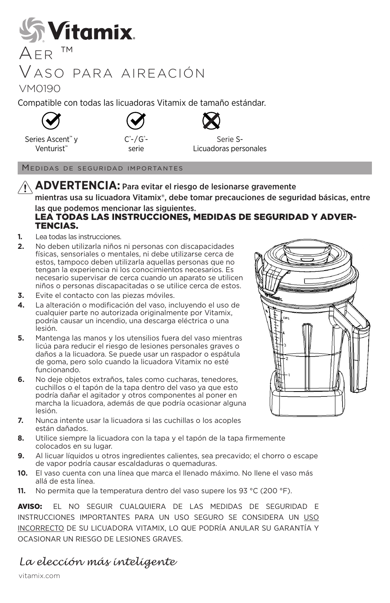

## Vaso para aireación

VM0190

Compatible con todas las licuadoras Vitamix de tamaño estándar.





- / G® serie



Series Ascent™ y Venturist<sup>™</sup>

Serie S-Licuadoras personales

Medidas de seguridad importantes

**ADVERTENCIA:** Para evitar el riesgo de lesionarse gravemente mientras usa su licuadora Vitamix®, debe tomar precauciones de seguridad básicas, entre

#### las que podemos mencionar las siguientes. LEA TODAS LAS INSTRUCCIONES, MEDIDAS DE SEGURIDAD Y ADVER-TENCIAS.

- **1.** Lea todas las instrucciones.
- **2.** No deben utilizarla niños ni personas con discapacidades físicas, sensoriales o mentales, ni debe utilizarse cerca de estos, tampoco deben utilizarla aquellas personas que no tengan la experiencia ni los conocimientos necesarios. Es necesario supervisar de cerca cuando un aparato se utilicen niños o personas discapacitadas o se utilice cerca de estos.
- **3.** Evite el contacto con las piezas móviles.
- **4.** La alteración o modificación del vaso, incluyendo el uso de cualquier parte no autorizada originalmente por Vitamix, podría causar un incendio, una descarga eléctrica o una lesión.
- **5.** Mantenga las manos y los utensilios fuera del vaso mientras licúa para reducir el riesgo de lesiones personales graves o daños a la licuadora. Se puede usar un raspador o espátula de goma, pero solo cuando la licuadora Vitamix no esté funcionando.
- **6.** No deje objetos extraños, tales como cucharas, tenedores, cuchillos o el tapón de la tapa dentro del vaso ya que esto podría dañar el agitador y otros componentes al poner en marcha la licuadora, además de que podría ocasionar alguna lesión.
- **7.** Nunca intente usar la licuadora si las cuchillas o los acoples están dañados.
- **8.** Utilice siempre la licuadora con la tapa y el tapón de la tapa firmemente colocados en su lugar.
- **9.** Al licuar líquidos u otros ingredientes calientes, sea precavido; el chorro o escape de vapor podría causar escaldaduras o quemaduras.
- **10.** El vaso cuenta con una línea que marca el llenado máximo. No llene el vaso más allá de esta línea.
- **11.** No permita que la temperatura dentro del vaso supere los 93 °C (200 °F).

AVISO: EL NO SEGUIR CUALQUIERA DE LAS MEDIDAS DE SEGURIDAD E INSTRUCCIONES IMPORTANTES PARA UN USO SEGURO SE CONSIDERA UN USO INCORRECTO DE SU LICUADORA VITAMIX, LO QUE PODRÍA ANULAR SU GARANTÍA Y OCASIONAR UN RIESGO DE LESIONES GRAVES.

## *La elección más inteligente*

vitamix.com

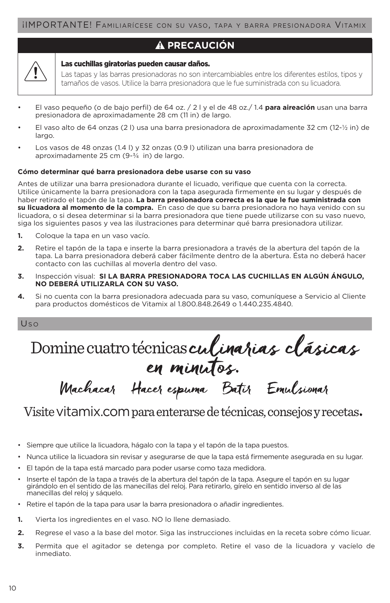### **PRECAUCIÓN**

#### Las cuchillas giratorias pueden causar daños.

Las tapas y las barras presionadoras no son intercambiables entre los diferentes estilos, tipos y tamaños de vasos. Utilice la barra presionadora que le fue suministrada con su licuadora.

- El vaso pequeño (o de bajo perfil) de 64 oz. / 2 l y el de 48 oz./ 1.4 **para aireación** usan una barra presionadora de aproximadamente 28 cm (11 in) de largo.
- El vaso alto de 64 onzas (2 l) usa una barra presionadora de aproximadamente 32 cm (12-½ in) de largo.
- Los vasos de 48 onzas (1.4 l) y 32 onzas (0.9 l) utilizan una barra presionadora de aproximadamente 25 cm (9-¾ in) de largo.

#### **Cómo determinar qué barra presionadora debe usarse con su vaso**

Antes de utilizar una barra presionadora durante el licuado, verifique que cuenta con la correcta. Utilice únicamente la barra presionadora con la tapa asegurada firmemente en su lugar y después de haber retirado el tapón de la tapa. **La barra presionadora correcta es la que le fue suministrada con su licuadora al momento de la compra.** En caso de que su barra presionadora no haya venido con su licuadora, o si desea determinar si la barra presionadora que tiene puede utilizarse con su vaso nuevo, siga los siguientes pasos y vea las ilustraciones para determinar qué barra presionadora utilizar.

- **1.** Coloque la tapa en un vaso vacío.
- **2.** Retire el tapón de la tapa e inserte la barra presionadora a través de la abertura del tapón de la tapa. La barra presionadora deberá caber fácilmente dentro de la abertura. Ésta no deberá hacer contacto con las cuchillas al moverla dentro del vaso.
- **3.** Inspección visual: **SI LA BARRA PRESIONADORA TOCA LAS CUCHILLAS EN ALGÚN ÁNGULO, NO DEBERÁ UTILIZARLA CON SU VASO.**
- **4.** Si no cuenta con la barra presionadora adecuada para su vaso, comuníquese a Servicio al Cliente para productos domésticos de Vitamix al 1.800.848.2649 o 1.440.235.4840.

Us <sup>o</sup>

Domine cuatro técnicas culinarias clásicas en minutos.

# Visite vitamix.com para enterarse de técnicas, consejos y recetas.

Machacar Hacer espuma Batir Emulsionar

- Siempre que utilice la licuadora, hágalo con la tapa y el tapón de la tapa puestos.
- Nunca utilice la licuadora sin revisar y asegurarse de que la tapa está firmemente asegurada en su lugar.
- El tapón de la tapa está marcado para poder usarse como taza medidora.
- Inserte el tapón de la tapa a través de la abertura del tapón de la tapa. Asegure el tapón en su lugar girándolo en el sentido de las manecillas del reloj. Para retirarlo, gírelo en sentido inverso al de las manecillas del reloj y sáquelo.
- Retire el tapón de la tapa para usar la barra presionadora o añadir ingredientes.
- **1.** Vierta los ingredientes en el vaso. NO lo llene demasiado.
- **2.** Regrese el vaso a la base del motor. Siga las instrucciones incluidas en la receta sobre cómo licuar.
- **3.** Permita que el agitador se detenga por completo. Retire el vaso de la licuadora y vacíelo de inmediato.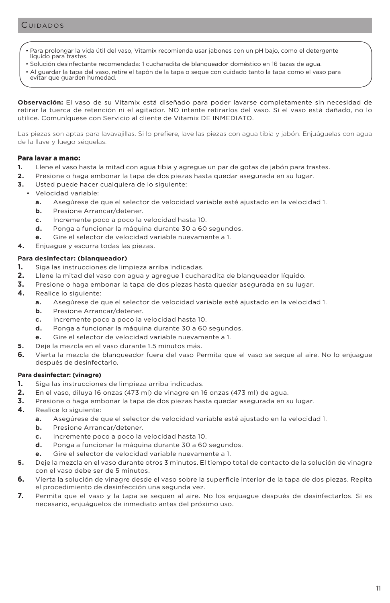- Para prolongar la vida útil del vaso, Vitamix recomienda usar jabones con un pH bajo, como el detergente líquido para trastes.
- Solución desinfectante recomendada: 1 cucharadita de blanqueador doméstico en 16 tazas de agua.
- Al guardar la tapa del vaso, retire el tapón de la tapa o seque con cuidado tanto la tapa como el vaso para evitar que guarden humedad.

**Observación:** El vaso de su Vitamix está diseñado para poder lavarse completamente sin necesidad de retirar la tuerca de retención ni el agitador. NO intente retirarlos del vaso. Si el vaso está dañado, no lo utilice. Comuníquese con Servicio al cliente de Vitamix DE INMEDIATO.

Las piezas son aptas para lavavajillas. Si lo prefiere, lave las piezas con agua tibia y jabón. Enjuáguelas con agua de la llave y luego séquelas.

#### Para lavar a mano:

- **1.** Llene el vaso hasta la mitad con agua tibia y agregue un par de gotas de jabón para trastes.
- **2.** Presione o haga embonar la tapa de dos piezas hasta quedar asegurada en su lugar.
- **3.** Usted puede hacer cualquiera de lo siguiente:
	- Velocidad variable:
		- **a.** Asegúrese de que el selector de velocidad variable esté ajustado en la velocidad 1.
		- **b.** Presione Arrancar/detener.
		- **c.** Incremente poco a poco la velocidad hasta 10.
		- **d.** Ponga a funcionar la máquina durante 30 a 60 segundos.
		- **e.** Gire el selector de velocidad variable nuevamente a 1.
- **4.** Enjuague y escurra todas las piezas.

#### **Para desinfectar: (blanqueador)**

- **1.** Siga las instrucciones de limpieza arriba indicadas.
- **2.** Llene la mitad del vaso con agua y agregue 1 cucharadita de blanqueador líquido.
- **3.** Presione o haga embonar la tapa de dos piezas hasta quedar asegurada en su lugar.
- **4.** Realice lo siguiente:
	- **a.** Asegúrese de que el selector de velocidad variable esté ajustado en la velocidad 1.
	- **b.** Presione Arrancar/detener.
	- **c.** Incremente poco a poco la velocidad hasta 10.
	- **d.** Ponga a funcionar la máquina durante 30 a 60 segundos.
	- **e.** Gire el selector de velocidad variable nuevamente a 1.
- **5.** Deje la mezcla en el vaso durante 1.5 minutos más.
- **6.** Vierta la mezcla de blanqueador fuera del vaso Permita que el vaso se seque al aire. No lo enjuague después de desinfectarlo.

#### **Para desinfectar: (vinagre)**

- **1.** Siga las instrucciones de limpieza arriba indicadas.
- **2.** En el vaso, diluya 16 onzas (473 ml) de vinagre en 16 onzas (473 ml) de agua.
- **3.** Presione o haga embonar la tapa de dos piezas hasta quedar asegurada en su lugar.
- **4.** Realice lo siguiente:
	- **a.** Asegúrese de que el selector de velocidad variable esté ajustado en la velocidad 1.
	- **b.** Presione Arrancar/detener.
	- **c.** Incremente poco a poco la velocidad hasta 10.
	- **d.** Ponga a funcionar la máquina durante 30 a 60 segundos.
	- **e.** Gire el selector de velocidad variable nuevamente a 1.
- **5.** Deje la mezcla en el vaso durante otros 3 minutos. El tiempo total de contacto de la solución de vinagre con el vaso debe ser de 5 minutos.
- **6.** Vierta la solución de vinagre desde el vaso sobre la superficie interior de la tapa de dos piezas. Repita el procedimiento de desinfección una segunda vez.
- **7.** Permita que el vaso y la tapa se sequen al aire. No los enjuague después de desinfectarlos. Si es necesario, enjuáguelos de inmediato antes del próximo uso.